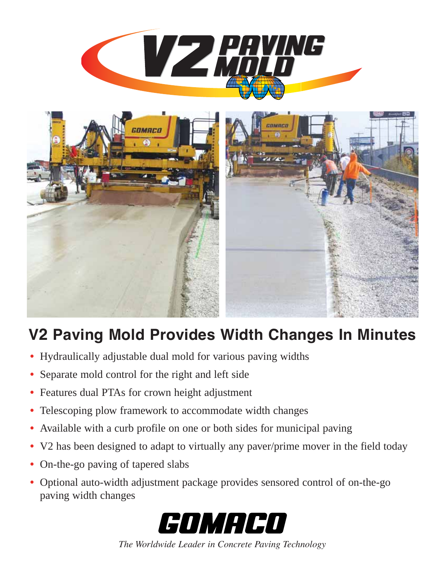

## **V2 Paving Mold Provides Width Changes In Minutes**

- **•** Hydraulically adjustable dual mold for various paving widths
- **•** Separate mold control for the right and left side
- **•** Features dual PTAs for crown height adjustment
- **•** Telescoping plow framework to accommodate width changes
- **•** Available with a curb profile on one or both sides for municipal paving
- **•** V2 has been designed to adapt to virtually any paver/prime mover in the field today
- On-the-go paving of tapered slabs
- **•** Optional auto-width adjustment package provides sensored control of on-the-go paving width changes



*The Worldwide Leader in Concrete Paving Technology*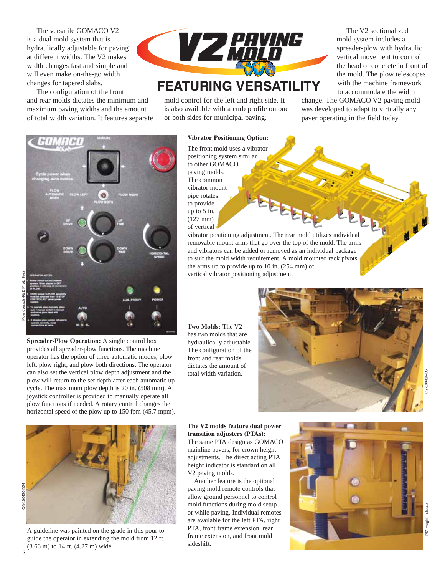The versatile GOMACO V2 is a dual mold system that is hydraulically adjustable for paving at different widths. The V2 makes width changes fast and simple and will even make on-the-go width changes for tapered slabs.

The configuration of the front and rear molds dictates the minimum and maximum paving widths and the amount of total width variation. It features separate



## **FEATURING VERSATILITY**

mold control for the left and right side. It is also available with a curb profile on one or both sides for municipal paving.

The V2 sectionalized mold system includes a spreader-plow with hydraulic vertical movement to control the head of concrete in front of the mold. The plow telescopes with the machine framework to accommodate the width

change. The GOMACO V2 paving mold was developed to adapt to virtually any paver operating in the field today.



Plow Controls-R&D Photo Files

**Spreader-Plow Operation:** A single control box provides all spreader-plow functions. The machine operator has the option of three automatic modes, plow left, plow right, and plow both directions. The operator can also set the vertical plow depth adjustment and the plow will return to the set depth after each automatic up cycle. The maximum plow depth is 20 in. (508 mm). A joystick controller is provided to manually operate all plow functions if needed. A rotary control changes the horizontal speed of the plow up to 150 fpm (45.7 mpm).



A guideline was painted on the grade in this pour to guide the operator in extending the mold from 12 ft. (3.66 m) to 14 ft. (4.27 m) wide.

**Vibrator Positioning Option:**

The front mold uses a vibrator positioning system similar to other GOMACO paving molds. The common vibrator mount pipe rotates to provide up to 5 in. (127 mm) of vertical

vibrator positioning adjustment. The rear mold utilizes individual removable mount arms that go over the top of the mold. The arms and vibrators can be added or removed as an individual package to suit the mold width requirement. A mold mounted rack pivots the arms up to provide up to 10 in. (254 mm) of vertical vibrator positioning adjustment.

**Two Molds:** The V2 has two molds that are hydraulically adjustable. The configuration of the front and rear molds dictates the amount of total width variation.



**The V2 molds feature dual power transition adjusters (PTAs):**  The same PTA design as GOMACO mainline pavers, for crown height adjustments. The direct acting PTA height indicator is standard on all V2 paving molds.

Another feature is the optional paving mold remote controls that allow ground personnel to control mold functions during mold setup or while paving. Individual remotes are available for the left PTA, right PTA, front frame extension, rear frame extension, and front mold sideshift.

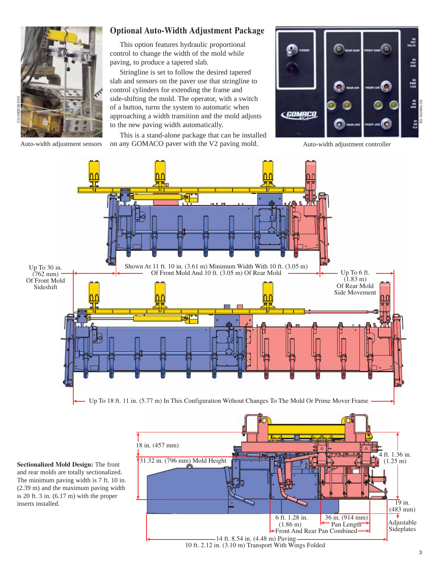

## **Optional Auto-Width Adjustment Package**

This option features hydraulic proportional control to change the width of the mold while paving, to produce a tapered slab.

Stringline is set to follow the desired tapered slab and sensors on the paver use that stringline to control cylinders for extending the frame and side-shifting the mold. The operator, with a switch of a button, turns the system to automatic when approaching a width transition and the mold adjusts to the new paving width automatically.

Auto-width adjustment sensors on any GOMACO paver with the V2 paving mold. Auto-width adjustment controller This is a stand-alone package that can be installed





**Sectionalized Mold Design:** The front and rear molds are totally sectionalized. The minimum paving width is 7 ft. 10 in. (2.39 m) and the maximum paving width is 20 ft. 3 in. (6.17 m) with the proper inserts installed.